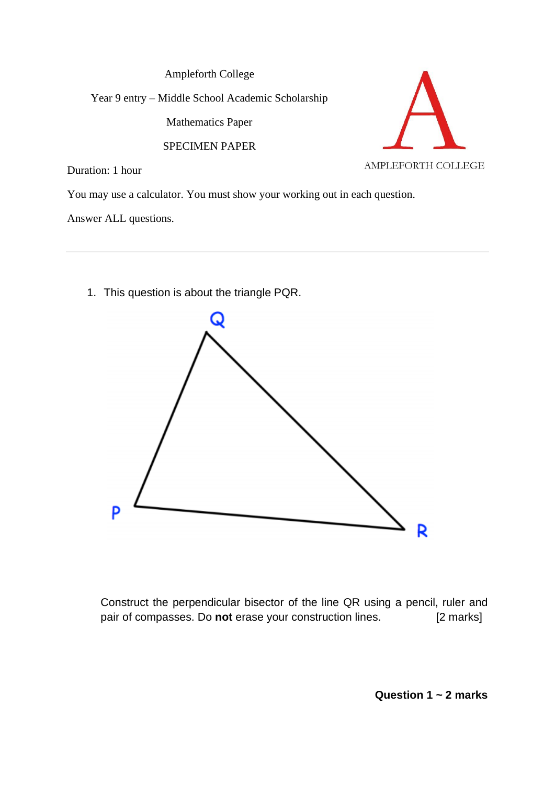Ampleforth College Year 9 entry – Middle School Academic Scholarship Mathematics Paper SPECIMEN PAPER AMPLEFORTH COLLEGE Duration: 1 hour

You may use a calculator. You must show your working out in each question.

Answer ALL questions.

1. This question is about the triangle PQR.



Construct the perpendicular bisector of the line QR using a pencil, ruler and pair of compasses. Do **not** erase your construction lines. [2 marks]

**Question 1 ~ 2 marks**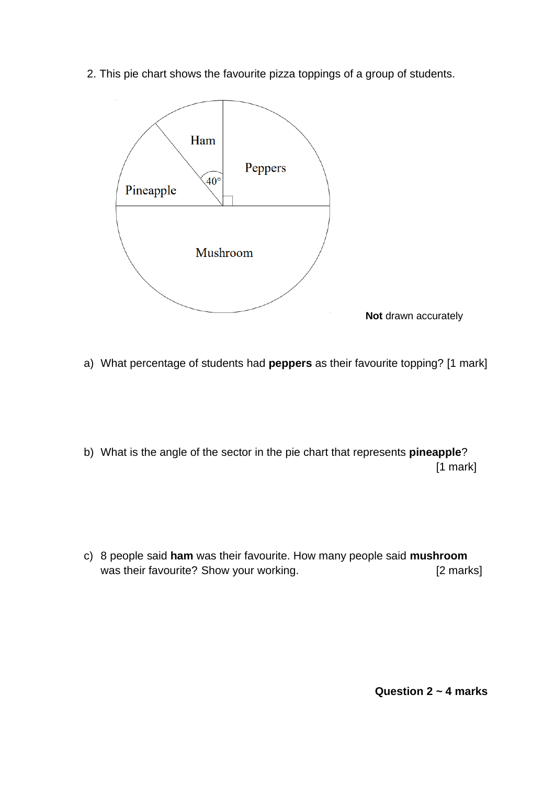2. This pie chart shows the favourite pizza toppings of a group of students.



- a) What percentage of students had **peppers** as their favourite topping? [1 mark]
- b) What is the angle of the sector in the pie chart that represents **pineapple**? [1 mark]
- c) 8 people said **ham** was their favourite. How many people said **mushroom**  was their favourite? Show your working. The same state of a large state of the state of the state of the state of the state of the state of the state of the state of the state of the state of the state of the state of the

**Question 2 ~ 4 marks**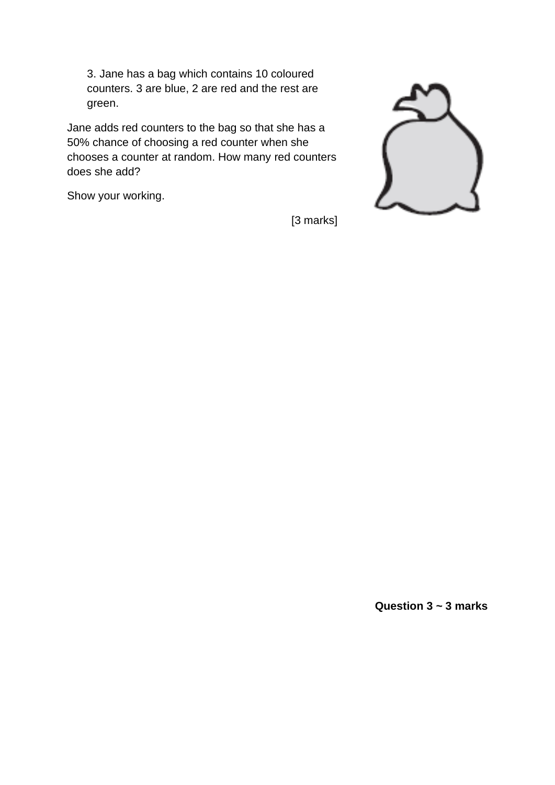3. Jane has a bag which contains 10 coloured counters. 3 are blue, 2 are red and the rest are green.

Jane adds red counters to the bag so that she has a 50% chance of choosing a red counter when she chooses a counter at random. How many red counters does she add?

Show your working.

[3 marks]



**Question 3 ~ 3 marks**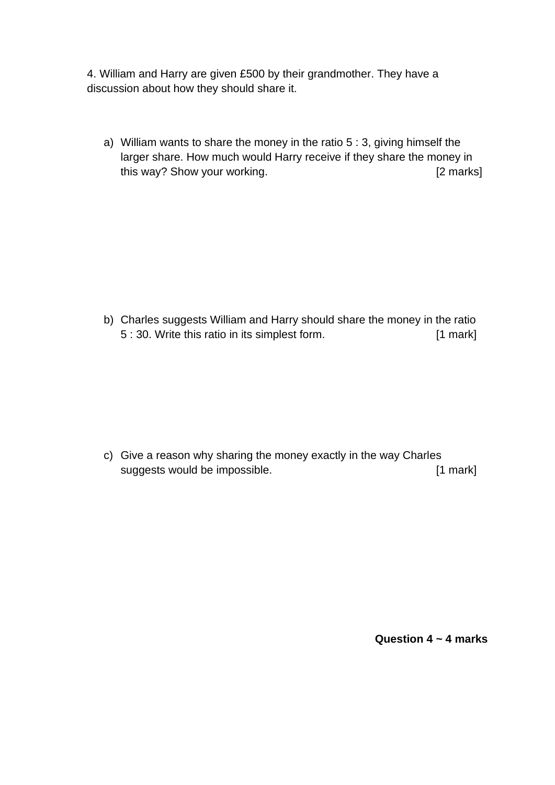4. William and Harry are given £500 by their grandmother. They have a discussion about how they should share it.

a) William wants to share the money in the ratio 5 : 3, giving himself the larger share. How much would Harry receive if they share the money in this way? Show your working. This way? Show your working.

b) Charles suggests William and Harry should share the money in the ratio 5 : 30. Write this ratio in its simplest form. [1 mark]

c) Give a reason why sharing the money exactly in the way Charles suggests would be impossible. [1 mark]

**Question 4 ~ 4 marks**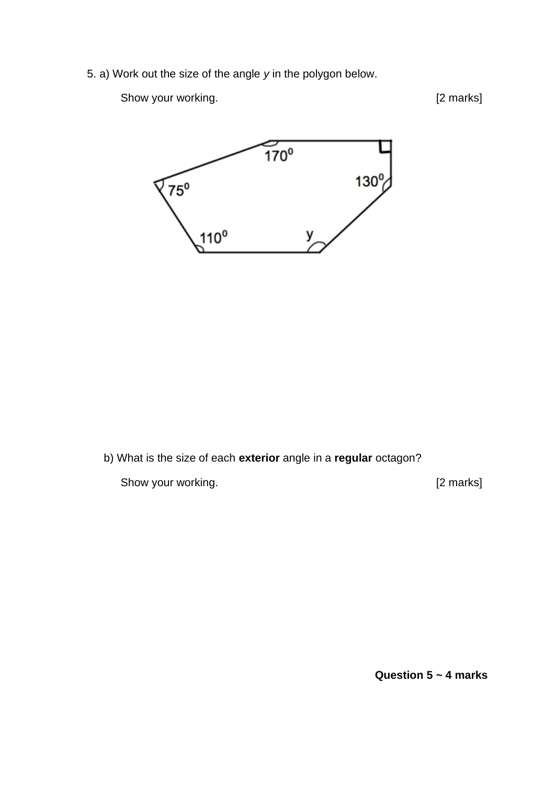5. a) Work out the size of the angle *y* in the polygon below.

Show your working. The same state of the state of the state of the state of the state of the state of the state of the state of the state of the state of the state of the state of the state of the state of the state of the



b) What is the size of each **exterior** angle in a **regular** octagon?

Show your working. The same state of the state of the state of the state of the state of the state of the state of the state of the state of the state of the state of the state of the state of the state of the state of the

**Question 5 ~ 4 marks**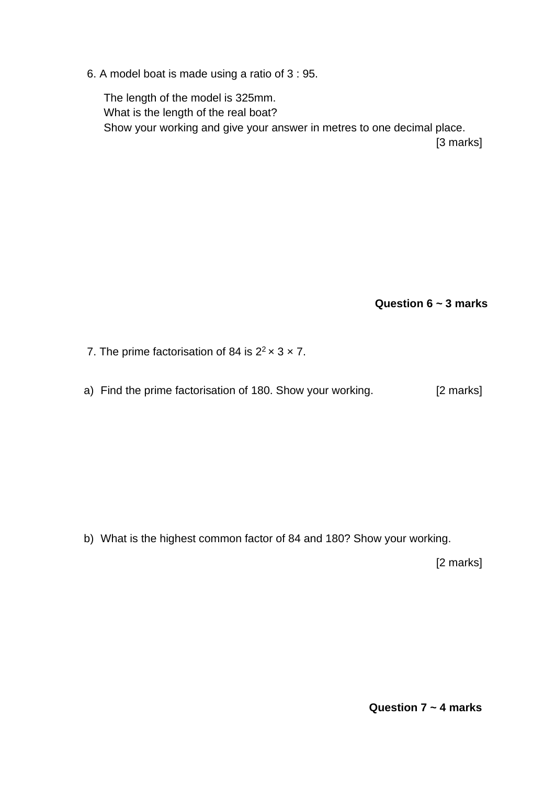6. A model boat is made using a ratio of 3 : 95.

The length of the model is 325mm. What is the length of the real boat? Show your working and give your answer in metres to one decimal place. [3 marks]

**Question 6 ~ 3 marks**

- 7. The prime factorisation of 84 is  $2^2 \times 3 \times 7$ .
- a) Find the prime factorisation of 180. Show your working. [2 marks]

b) What is the highest common factor of 84 and 180? Show your working.

[2 marks]

**Question 7 ~ 4 marks**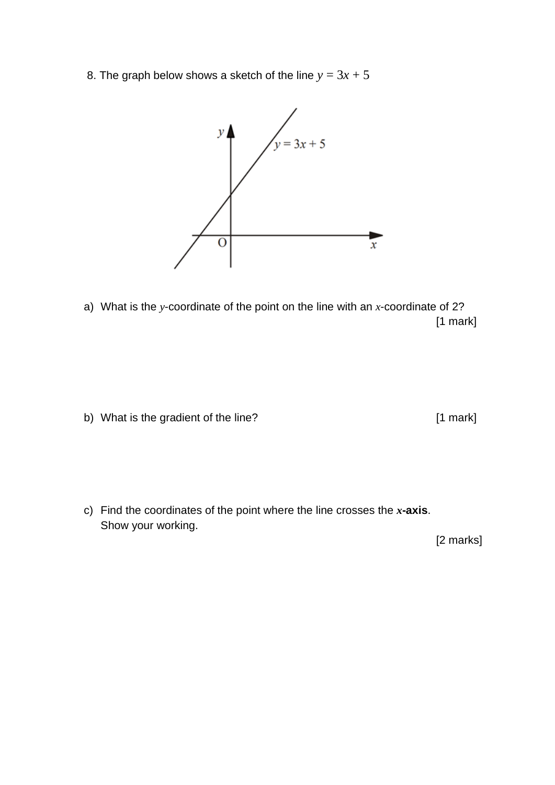8. The graph below shows a sketch of the line  $y = 3x + 5$ 



a) What is the *y*-coordinate of the point on the line with an *x*-coordinate of 2? [1 mark]

b) What is the gradient of the line? [1 mark]

c) Find the coordinates of the point where the line crosses the *x***-axis**. Show your working.

[2 marks]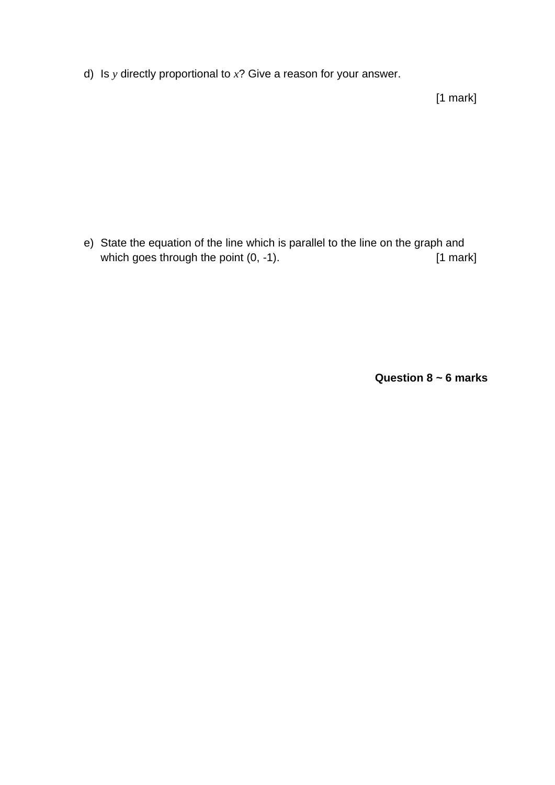d) Is *y* directly proportional to *x*? Give a reason for your answer.

[1 mark]

e) State the equation of the line which is parallel to the line on the graph and which goes through the point (0, -1). [1 mark]

**Question 8 ~ 6 marks**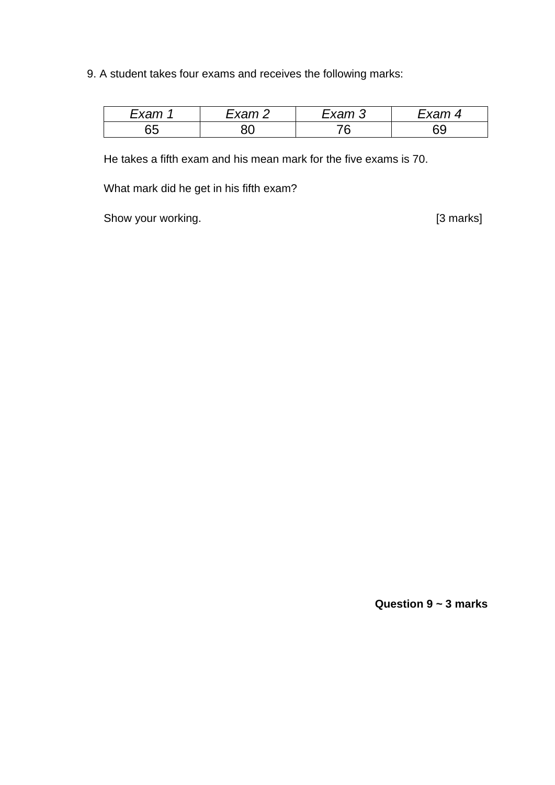9. A student takes four exams and receives the following marks:

| ⊡xam | -vom | ∠xam | $\sim$<br>vu |
|------|------|------|--------------|
| ხე   | JU   | ັ    | ี<br>◡◡      |

He takes a fifth exam and his mean mark for the five exams is 70.

What mark did he get in his fifth exam?

Show your working. The state of the state of the state of the state of the state of the state of the state of the state of the state of the state of the state of the state of the state of the state of the state of the stat

**Question 9 ~ 3 marks**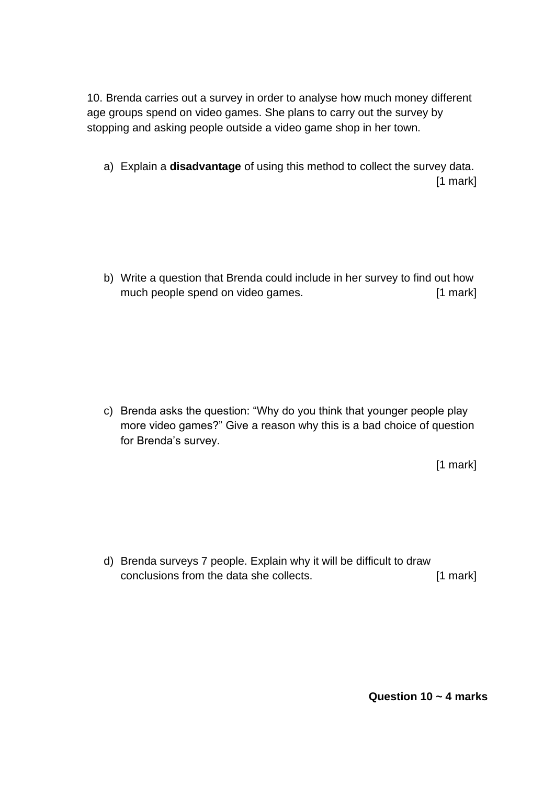10. Brenda carries out a survey in order to analyse how much money different age groups spend on video games. She plans to carry out the survey by stopping and asking people outside a video game shop in her town.

a) Explain a **disadvantage** of using this method to collect the survey data. [1 mark]

b) Write a question that Brenda could include in her survey to find out how much people spend on video games. [1 mark]

c) Brenda asks the question: "Why do you think that younger people play more video games?" Give a reason why this is a bad choice of question for Brenda's survey.

[1 mark]

d) Brenda surveys 7 people. Explain why it will be difficult to draw conclusions from the data she collects. [1 mark]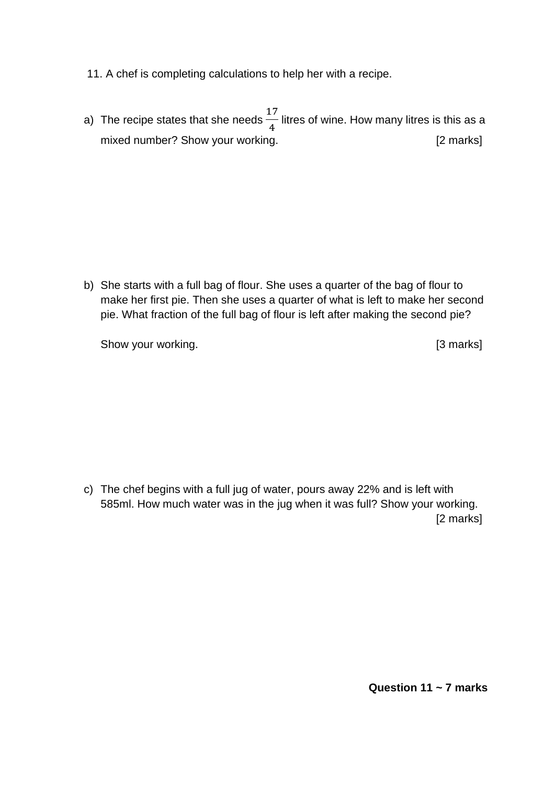- 11. A chef is completing calculations to help her with a recipe.
- a) The recipe states that she needs 17 4 litres of wine. How many litres is this as a mixed number? Show your working. The contract of the state of the state of the marks]

b) She starts with a full bag of flour. She uses a quarter of the bag of flour to make her first pie. Then she uses a quarter of what is left to make her second pie. What fraction of the full bag of flour is left after making the second pie?

Show your working. The state of the state of the state of the state of the state of the state of the state of the state of the state of the state of the state of the state of the state of the state of the state of the stat

c) The chef begins with a full jug of water, pours away 22% and is left with 585ml. How much water was in the jug when it was full? Show your working. [2 marks]

**Question 11 ~ 7 marks**